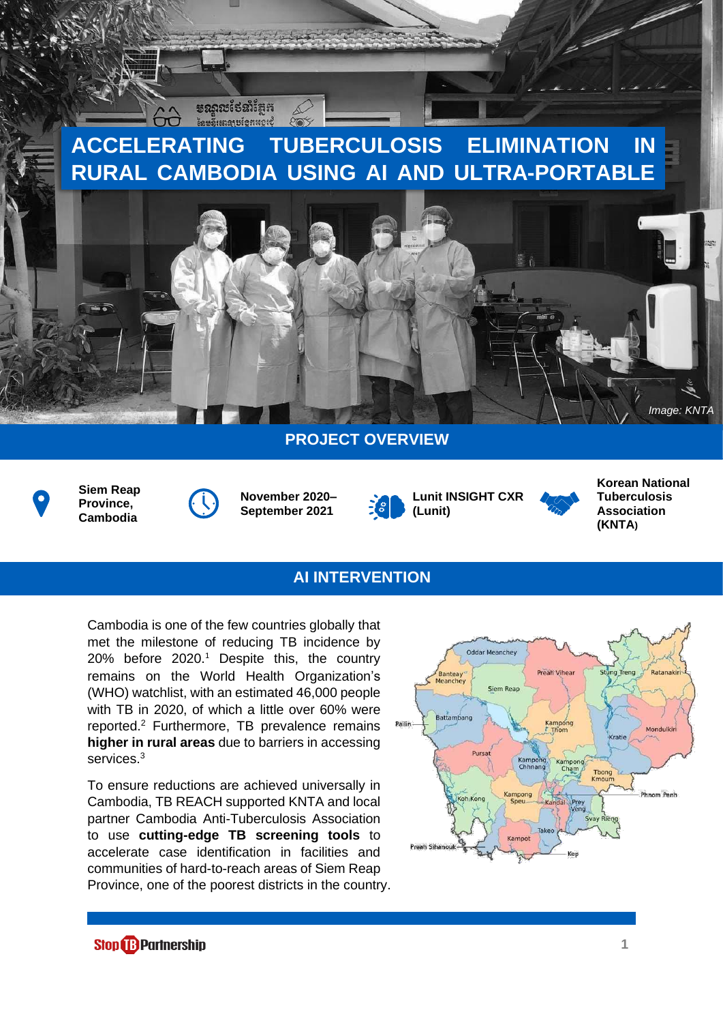# **ACCELERATING TUBERCULOSIS ELIMINATION IN RURAL CAMBODIA USING AI AND ULTRA-PORTABLE**



# **PROJECT OVERVIEW**



**Siem Reap Province, Cambodia**



**មណ្ណរបថែ**នាំតែក **เ้**ละลี้เเตลาะเ้อหนอเชื้

> **November 2020– September 2021**







### **AI INTERVENTION**

Cambodia is one of the few countries globally that met the milestone of reducing TB incidence by 20% before 2020.<sup>1</sup> Despite this, the country remains on the World Health Organization's (WHO) watchlist, with an estimated 46,000 people with TB in 2020, of which a little over 60% were reported.<sup>2</sup> Furthermore, TB prevalence remains **higher in rural areas** due to barriers in accessing services.<sup>3</sup>

To ensure reductions are achieved universally in Cambodia, TB REACH supported KNTA and local partner Cambodia Anti-Tuberculosis Association to use **cutting-edge TB screening tools** to accelerate case identification in facilities and communities of hard-to-reach areas of Siem Reap Province, one of the poorest districts in the country.



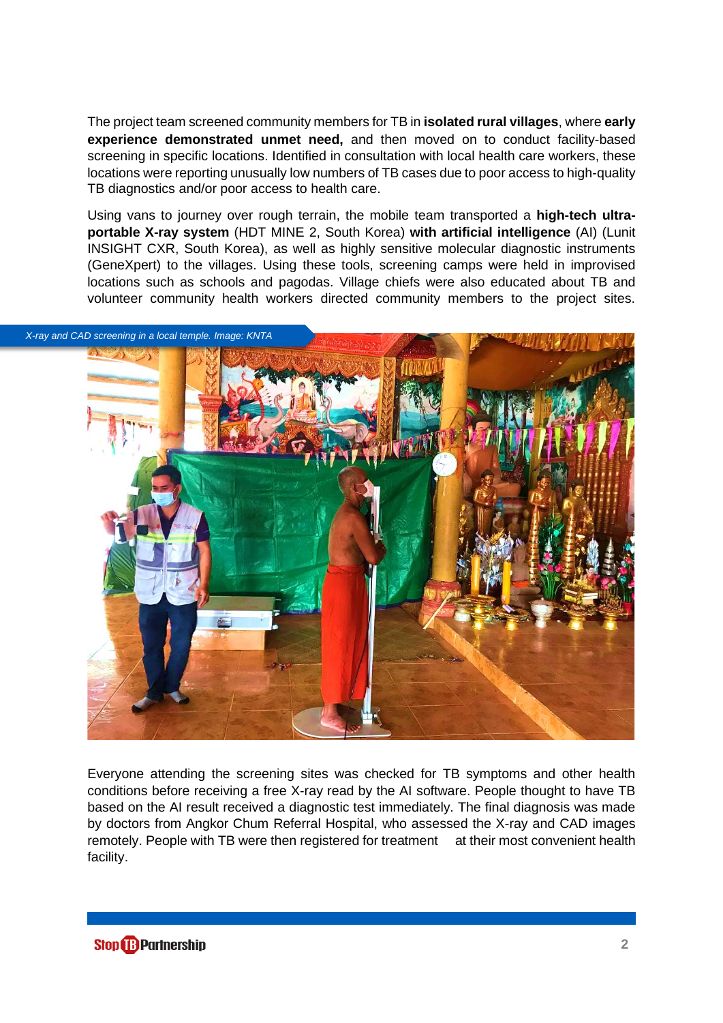The project team screened community members for TB in **isolated rural villages**, where **early experience demonstrated unmet need,** and then moved on to conduct facility-based screening in specific locations. Identified in consultation with local health care workers, these locations were reporting unusually low numbers of TB cases due to poor access to high-quality TB diagnostics and/or poor access to health care.

Using vans to journey over rough terrain, the mobile team transported a **high-tech ultraportable X-ray system** (HDT MINE 2, South Korea) **with artificial intelligence** (AI) (Lunit INSIGHT CXR, South Korea), as well as highly sensitive molecular diagnostic instruments (GeneXpert) to the villages. Using these tools, screening camps were held in improvised locations such as schools and pagodas. Village chiefs were also educated about TB and volunteer community health workers directed community members to the project sites.



Everyone attending the screening sites was checked for TB symptoms and other health conditions before receiving a free X-ray read by the AI software. People thought to have TB based on the AI result received a diagnostic test immediately. The final diagnosis was made by doctors from Angkor Chum Referral Hospital, who assessed the X-ray and CAD images remotely. People with TB were then registered for treatment at their most convenient health facility.

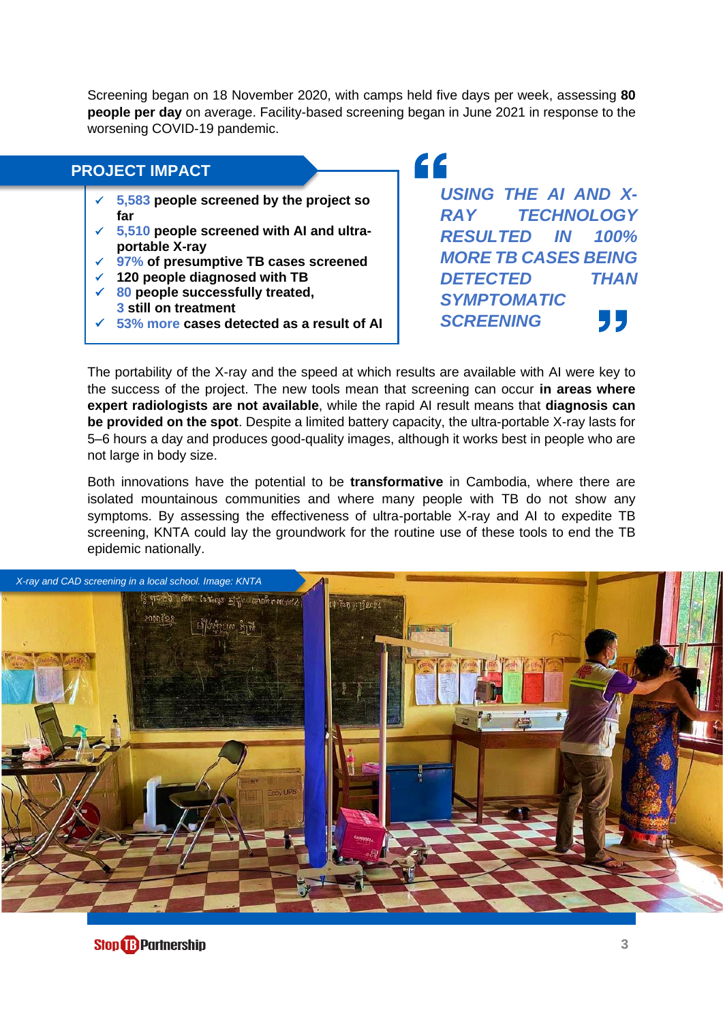Screening began on 18 November 2020, with camps held five days per week, assessing **80 people per day** on average. Facility-based screening began in June 2021 in response to the worsening COVID-19 pandemic.

#### **PROJECT IMPACT**

- ✓ **5,583 people screened by the project so far**
- ✓ **5,510 people screened with AI and ultraportable X-ray**
- ✓ **97% of presumptive TB cases screened**
- ✓ **120 people diagnosed with TB**
- ✓ **80 people successfully treated, 3 still on treatment**
- ✓ **53% more cases detected as a result of AI**

" *USING THE AI AND X-RAY TECHNOLOGY RESULTED IN 100% MORE TB CASES BEING DETECTED THAN SYMPTOMATIC*  99 *SCREENING*

The portability of the X-ray and the speed at which results are available with AI were key to the success of the project. The new tools mean that screening can occur **in areas where expert radiologists are not available**, while the rapid AI result means that **diagnosis can be provided on the spot**. Despite a limited battery capacity, the ultra-portable X-ray lasts for 5–6 hours a day and produces good-quality images, although it works best in people who are not large in body size.

Both innovations have the potential to be **transformative** in Cambodia, where there are isolated mountainous communities and where many people with TB do not show any symptoms. By assessing the effectiveness of ultra-portable X-ray and AI to expedite TB screening, KNTA could lay the groundwork for the routine use of these tools to end the TB epidemic nationally.